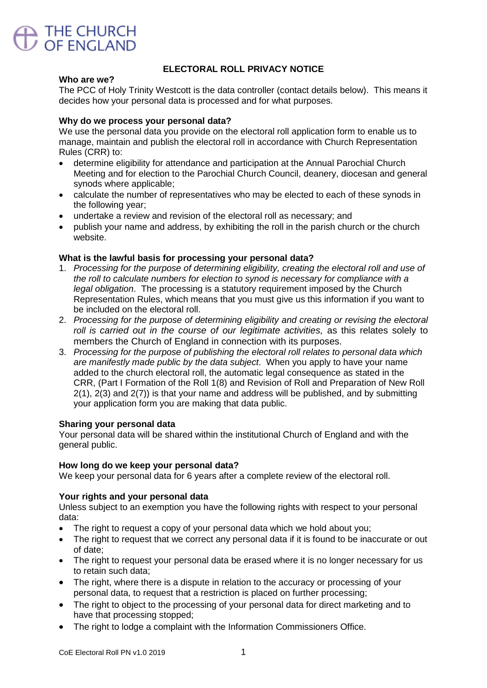

# **ELECTORAL ROLL PRIVACY NOTICE**

#### **Who are we?**

The PCC of Holy Trinity Westcott is the data controller (contact details below). This means it decides how your personal data is processed and for what purposes.

## **Why do we process your personal data?**

We use the personal data you provide on the electoral roll application form to enable us to manage, maintain and publish the electoral roll in accordance with Church Representation Rules (CRR) to:

- determine eligibility for attendance and participation at the Annual Parochial Church Meeting and for election to the Parochial Church Council, deanery, diocesan and general synods where applicable;
- calculate the number of representatives who may be elected to each of these synods in the following year;
- undertake a review and revision of the electoral roll as necessary; and
- publish your name and address, by exhibiting the roll in the parish church or the church website.

### **What is the lawful basis for processing your personal data?**

- 1. *Processing for the purpose of determining eligibility, creating the electoral roll and use of the roll to calculate numbers for election to synod is necessary for compliance with a legal obligation*. The processing is a statutory requirement imposed by the Church Representation Rules, which means that you must give us this information if you want to be included on the electoral roll.
- 2. *Processing for the purpose of determining eligibility and creating or revising the electoral roll is carried out in the course of our legitimate activities,* as this relates solely to members the Church of England in connection with its purposes.
- 3. *Processing for the purpose of publishing the electoral roll relates to personal data which are manifestly made public by the data subject*. When you apply to have your name added to the church electoral roll, the automatic legal consequence as stated in the CRR, (Part I Formation of the Roll 1(8) and Revision of Roll and Preparation of New Roll 2(1), 2(3) and 2(7)) is that your name and address will be published, and by submitting your application form you are making that data public.

#### **Sharing your personal data**

Your personal data will be shared within the institutional Church of England and with the general public.

#### **How long do we keep your personal data?**

We keep your personal data for 6 years after a complete review of the electoral roll.

## **Your rights and your personal data**

Unless subject to an exemption you have the following rights with respect to your personal data:

- The right to request a copy of your personal data which we hold about you;
- The right to request that we correct any personal data if it is found to be inaccurate or out of date;
- The right to request your personal data be erased where it is no longer necessary for us to retain such data;
- The right, where there is a dispute in relation to the accuracy or processing of your personal data, to request that a restriction is placed on further processing;
- The right to object to the processing of your personal data for direct marketing and to have that processing stopped;
- The right to lodge a complaint with the Information Commissioners Office.